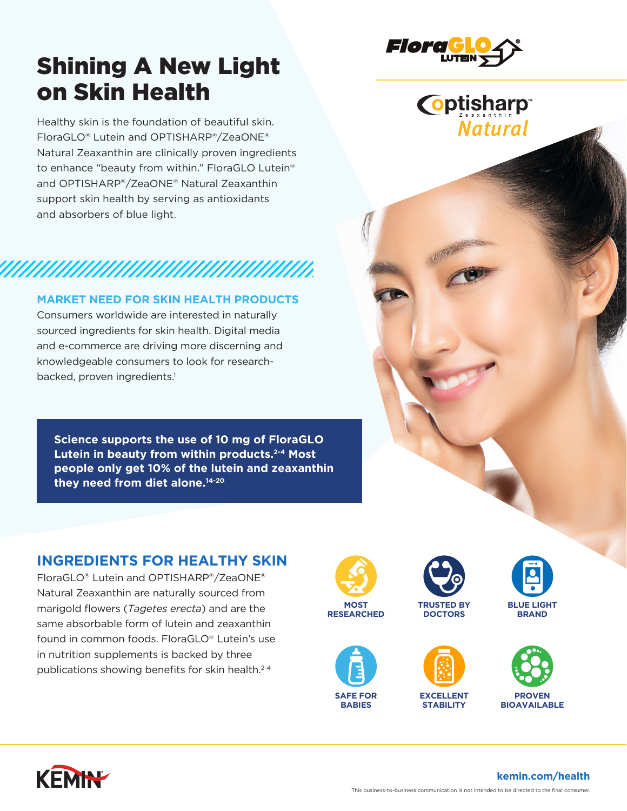# Shining A New Light on Skin Health

Healthy skin is the foundation of beautiful skin. FloraGLO® Lutein and OPTISHARP®/ZeaONE® Natural Zeaxanthin are clinically proven ingredients to enhance "beauty from within." FloraGLO Lutein® and OPTISHARP®/ZeaONE® Natural Zeaxanthin support skin health by serving as antioxidants and absorbers of blue light.

## *MAHAHAHAHAHAHAHAHAHA*

### **MARKET NEED FOR SKIN HEALTH PRODUCTS**

Consumers worldwide are interested in naturally sourced ingredients for skin health. Digital media and e-commerce are driving more discerning and knowledgeable consumers to look for researchbacked, proven ingredients.<sup>1</sup>

**Science supports the use of 10 mg of FloraGLO Lutein in beauty from within products.2-4 Most people only get 10% of the lutein and zeaxanthin they need from diet alone.14-20**

## **INGREDIENTS FOR HEALTHY SKIN**

FloraGLO® Lutein and OPTISHARP®/ZeaONE® Natural Zeaxanthin are naturally sourced from marigold flowers (*Tagetes erecta*) and are the same absorbable form of lutein and zeaxanthin found in common foods. FloraGLO® Lutein's use in nutrition supplements is backed by three publications showing benefits for skin health.<sup>2-4</sup>





















**kemin.com/health**



**Coptisharp** 

**Natural**